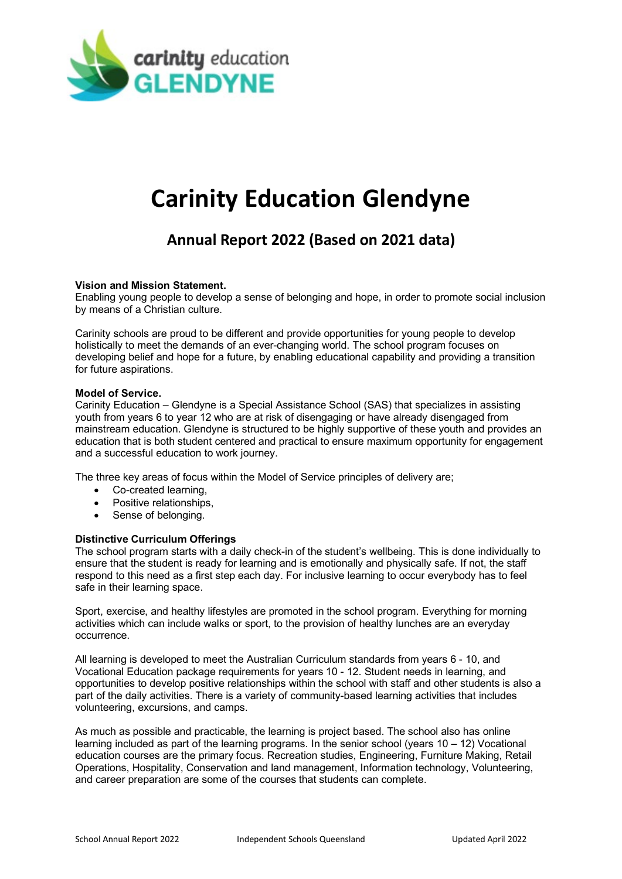

# **Carinity Education Glendyne**

# **Annual Report 2022 (Based on 2021 data)**

# **Vision and Mission Statement.**

Enabling young people to develop a sense of belonging and hope, in order to promote social inclusion by means of a Christian culture.

Carinity schools are proud to be different and provide opportunities for young people to develop holistically to meet the demands of an ever-changing world. The school program focuses on developing belief and hope for a future, by enabling educational capability and providing a transition for future aspirations.

#### **Model of Service.**

Carinity Education – Glendyne is a Special Assistance School (SAS) that specializes in assisting youth from years 6 to year 12 who are at risk of disengaging or have already disengaged from mainstream education. Glendyne is structured to be highly supportive of these youth and provides an education that is both student centered and practical to ensure maximum opportunity for engagement and a successful education to work journey.

The three key areas of focus within the Model of Service principles of delivery are;

- Co-created learning,
- Positive relationships,
- Sense of belonging.

# **Distinctive Curriculum Offerings**

The school program starts with a daily check-in of the student's wellbeing. This is done individually to ensure that the student is ready for learning and is emotionally and physically safe. If not, the staff respond to this need as a first step each day. For inclusive learning to occur everybody has to feel safe in their learning space.

Sport, exercise, and healthy lifestyles are promoted in the school program. Everything for morning activities which can include walks or sport, to the provision of healthy lunches are an everyday occurrence.

All learning is developed to meet the Australian Curriculum standards from years 6 - 10, and Vocational Education package requirements for years 10 - 12. Student needs in learning, and opportunities to develop positive relationships within the school with staff and other students is also a part of the daily activities. There is a variety of community-based learning activities that includes volunteering, excursions, and camps.

As much as possible and practicable, the learning is project based. The school also has online learning included as part of the learning programs. In the senior school (years 10 – 12) Vocational education courses are the primary focus. Recreation studies, Engineering, Furniture Making, Retail Operations, Hospitality, Conservation and land management, Information technology, Volunteering, and career preparation are some of the courses that students can complete.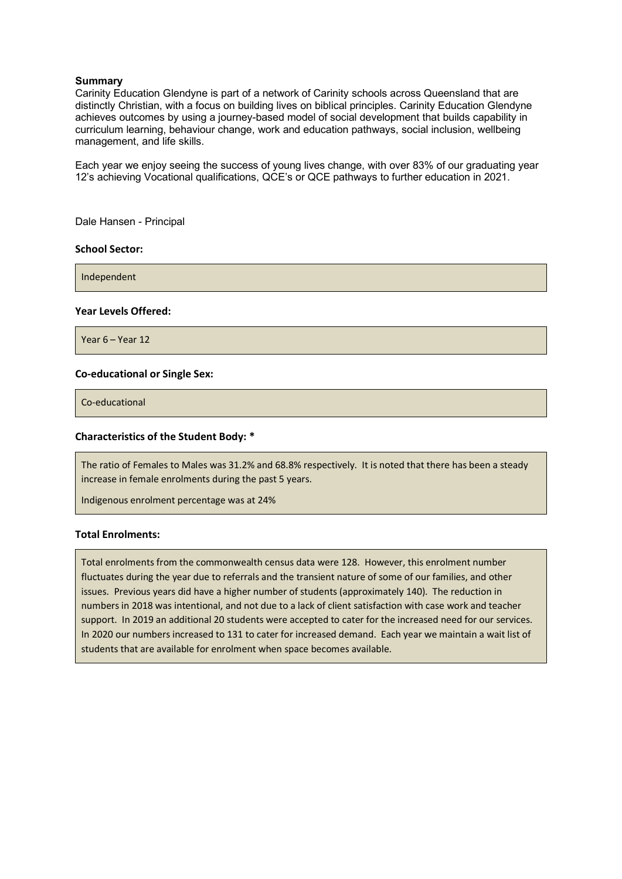### **Summary**

Carinity Education Glendyne is part of a network of Carinity schools across Queensland that are distinctly Christian, with a focus on building lives on biblical principles. Carinity Education Glendyne achieves outcomes by using a journey-based model of social development that builds capability in curriculum learning, behaviour change, work and education pathways, social inclusion, wellbeing management, and life skills.

Each year we enjoy seeing the success of young lives change, with over 83% of our graduating year 12's achieving Vocational qualifications, QCE's or QCE pathways to further education in 2021.

Dale Hansen - Principal

#### **School Sector:**

Independent

#### **Year Levels Offered:**

Year 6 – Year 12

#### **Co-educational or Single Sex:**

Co-educational

#### **Characteristics of the Student Body: \***

The ratio of Females to Males was 31.2% and 68.8% respectively. It is noted that there has been a steady increase in female enrolments during the past 5 years.

Indigenous enrolment percentage was at 24%

#### **Total Enrolments:**

Total enrolments from the commonwealth census data were 128. However, this enrolment number fluctuates during the year due to referrals and the transient nature of some of our families, and other issues. Previous years did have a higher number of students (approximately 140). The reduction in numbers in 2018 was intentional, and not due to a lack of client satisfaction with case work and teacher support. In 2019 an additional 20 students were accepted to cater for the increased need for our services. In 2020 our numbers increased to 131 to cater for increased demand. Each year we maintain a wait list of students that are available for enrolment when space becomes available.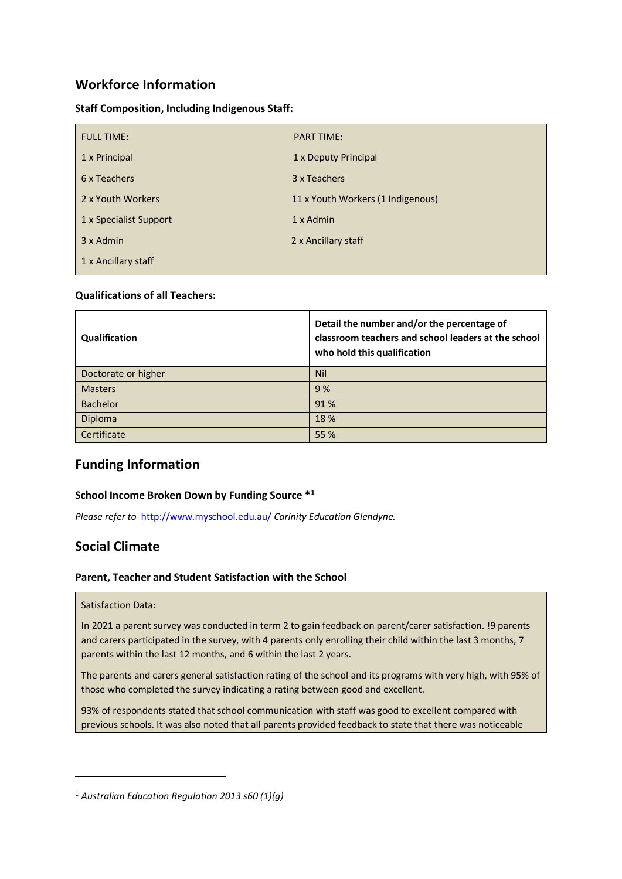# **Workforce Information**

**Staff Composition, Including Indigenous Staff:** 

| <b>FULL TIME:</b>      | <b>PART TIME:</b>                 |
|------------------------|-----------------------------------|
| 1 x Principal          | 1 x Deputy Principal              |
| 6 x Teachers           | 3 x Teachers                      |
| 2 x Youth Workers      | 11 x Youth Workers (1 Indigenous) |
| 1 x Specialist Support | 1 x Admin                         |
| 3 x Admin              | 2 x Ancillary staff               |
| 1 x Ancillary staff    |                                   |

# **Qualifications of all Teachers:**

| Qualification       | Detail the number and/or the percentage of<br>classroom teachers and school leaders at the school<br>who hold this qualification |
|---------------------|----------------------------------------------------------------------------------------------------------------------------------|
| Doctorate or higher | <b>Nil</b>                                                                                                                       |
| <b>Masters</b>      | 9%                                                                                                                               |
| <b>Bachelor</b>     | 91%                                                                                                                              |
| Diploma             | 18 %                                                                                                                             |
| Certificate         | 55 %                                                                                                                             |

# **Funding Information**

# **School Income Broken Down by Funding Source \*[1](#page-2-0)**

*Please refer to* <http://www.myschool.edu.au/> *Carinity Education Glendyne.* 

# **Social Climate**

# **Parent, Teacher and Student Satisfaction with the School**

#### Satisfaction Data:

In 2021 a parent survey was conducted in term 2 to gain feedback on parent/carer satisfaction. !9 parents and carers participated in the survey, with 4 parents only enrolling their child within the last 3 months, 7 parents within the last 12 months, and 6 within the last 2 years.

The parents and carers general satisfaction rating of the school and its programs with very high, with 95% of those who completed the survey indicating a rating between good and excellent.

93% of respondents stated that school communication with staff was good to excellent compared with previous schools. It was also noted that all parents provided feedback to state that there was noticeable

<span id="page-2-0"></span><sup>1</sup> *Australian Education Regulation 2013 s60 (1)(g)*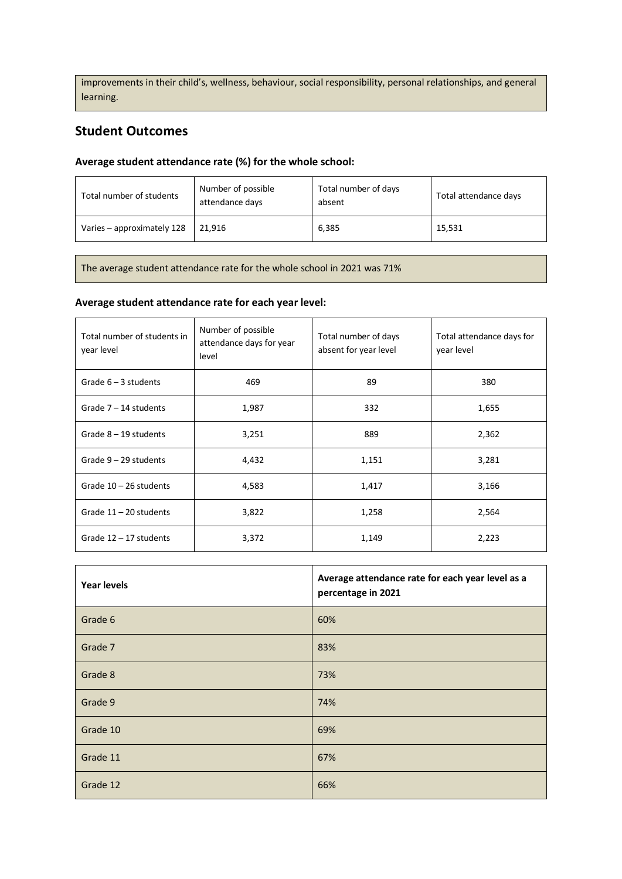improvements in their child's, wellness, behaviour, social responsibility, personal relationships, and general learning.

# **Student Outcomes**

# **Average student attendance rate (%) for the whole school:**

| Total number of students   | Number of possible<br>attendance days | Total number of days<br>absent | Total attendance days |
|----------------------------|---------------------------------------|--------------------------------|-----------------------|
| Varies - approximately 128 | 21.916                                | 6,385                          | 15,531                |

The average student attendance rate for the whole school in 2021 was 71%

# **Average student attendance rate for each year level:**

| Total number of students in<br>year level | Number of possible<br>attendance days for year<br>level | Total number of days<br>absent for year level | Total attendance days for<br>year level |
|-------------------------------------------|---------------------------------------------------------|-----------------------------------------------|-----------------------------------------|
| Grade $6 - 3$ students                    | 469                                                     | 89                                            | 380                                     |
| Grade $7 - 14$ students                   | 1,987                                                   | 332                                           | 1,655                                   |
| Grade $8 - 19$ students                   | 3,251                                                   | 889                                           | 2,362                                   |
| Grade $9 - 29$ students                   | 4,432                                                   | 1,151                                         | 3,281                                   |
| Grade $10 - 26$ students                  | 4,583                                                   | 1,417                                         | 3,166                                   |
| Grade $11 - 20$ students                  | 3,822                                                   | 1,258                                         | 2,564                                   |
| Grade $12 - 17$ students                  | 3,372                                                   | 1,149                                         | 2,223                                   |

| <b>Year levels</b> | Average attendance rate for each year level as a<br>percentage in 2021 |
|--------------------|------------------------------------------------------------------------|
| Grade 6            | 60%                                                                    |
| Grade 7            | 83%                                                                    |
| Grade 8            | 73%                                                                    |
| Grade 9            | 74%                                                                    |
| Grade 10           | 69%                                                                    |
| Grade 11           | 67%                                                                    |
| Grade 12           | 66%                                                                    |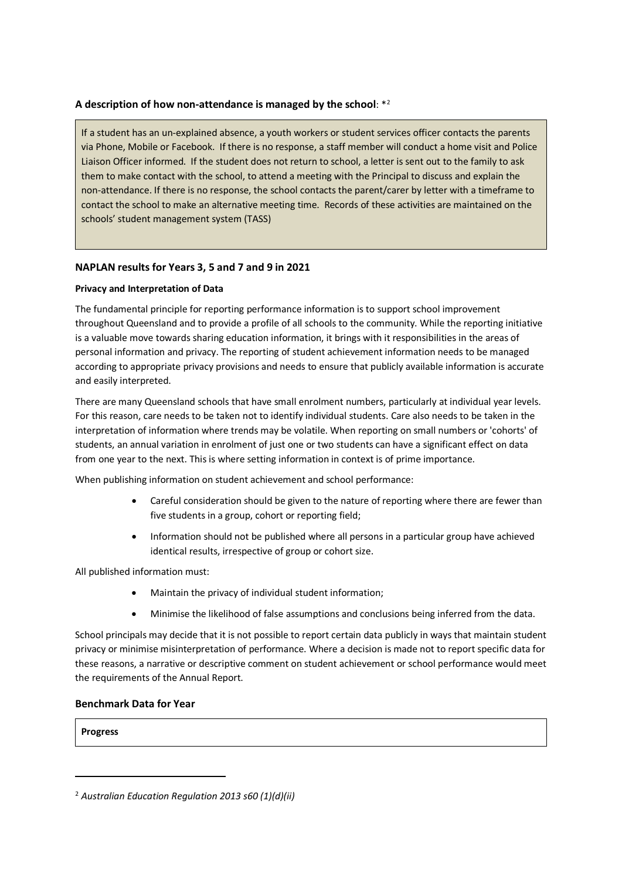### **A description of how non-attendance is managed by the school**: [\\*2](#page-4-0)

If a student has an un-explained absence, a youth workers or student services officer contacts the parents via Phone, Mobile or Facebook. If there is no response, a staff member will conduct a home visit and Police Liaison Officer informed. If the student does not return to school, a letter is sent out to the family to ask them to make contact with the school, to attend a meeting with the Principal to discuss and explain the non-attendance. If there is no response, the school contacts the parent/carer by letter with a timeframe to contact the school to make an alternative meeting time. Records of these activities are maintained on the schools' student management system (TASS)

# **NAPLAN results for Years 3, 5 and 7 and 9 in 2021**

#### **Privacy and Interpretation of Data**

The fundamental principle for reporting performance information is to support school improvement throughout Queensland and to provide a profile of all schools to the community. While the reporting initiative is a valuable move towards sharing education information, it brings with it responsibilities in the areas of personal information and privacy. The reporting of student achievement information needs to be managed according to appropriate privacy provisions and needs to ensure that publicly available information is accurate and easily interpreted.

There are many Queensland schools that have small enrolment numbers, particularly at individual year levels. For this reason, care needs to be taken not to identify individual students. Care also needs to be taken in the interpretation of information where trends may be volatile. When reporting on small numbers or 'cohorts' of students, an annual variation in enrolment of just one or two students can have a significant effect on data from one year to the next. This is where setting information in context is of prime importance.

When publishing information on student achievement and school performance:

- Careful consideration should be given to the nature of reporting where there are fewer than five students in a group, cohort or reporting field;
- Information should not be published where all persons in a particular group have achieved identical results, irrespective of group or cohort size.

All published information must:

- Maintain the privacy of individual student information;
- Minimise the likelihood of false assumptions and conclusions being inferred from the data.

School principals may decide that it is not possible to report certain data publicly in ways that maintain student privacy or minimise misinterpretation of performance. Where a decision is made not to report specific data for these reasons, a narrative or descriptive comment on student achievement or school performance would meet the requirements of the Annual Report.

#### **Benchmark Data for Year**

#### **Progress**

<span id="page-4-0"></span><sup>2</sup> *Australian Education Regulation 2013 s60 (1)(d)(ii)*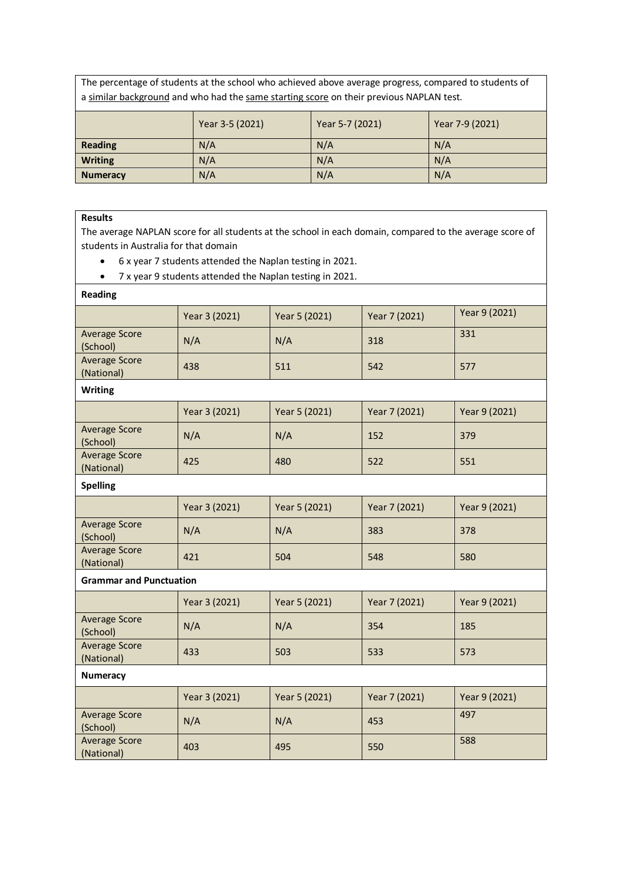The percentage of students at the school who achieved above average progress, compared to students of a similar background and who had the same starting score on their previous NAPLAN test.

|                 | Year 3-5 (2021) | Year 5-7 (2021) | Year 7-9 (2021) |
|-----------------|-----------------|-----------------|-----------------|
| <b>Reading</b>  | N/A             | N/A             | N/A             |
| <b>Writing</b>  | N/A             | N/A             | N/A             |
| <b>Numeracy</b> | N/A             | N/A             | N/A             |

#### **Results**

The average NAPLAN score for all students at the school in each domain, compared to the average score of students in Australia for that domain

- 6 x year 7 students attended the Naplan testing in 2021.
- 7 x year 9 students attended the Naplan testing in 2021.

| <b>Reading</b>                     |               |               |               |               |
|------------------------------------|---------------|---------------|---------------|---------------|
|                                    | Year 3 (2021) | Year 5 (2021) | Year 7 (2021) | Year 9 (2021) |
| <b>Average Score</b><br>(School)   | N/A           | N/A           | 318           | 331           |
| <b>Average Score</b><br>(National) | 438           | 511           | 542           | 577           |
| <b>Writing</b>                     |               |               |               |               |
|                                    | Year 3 (2021) | Year 5 (2021) | Year 7 (2021) | Year 9 (2021) |
| <b>Average Score</b><br>(School)   | N/A           | N/A           | 152           | 379           |
| <b>Average Score</b><br>(National) | 425           | 480           | 522           | 551           |
| <b>Spelling</b>                    |               |               |               |               |
|                                    | Year 3 (2021) | Year 5 (2021) | Year 7 (2021) | Year 9 (2021) |
| <b>Average Score</b><br>(School)   | N/A           | N/A           | 383           | 378           |
| <b>Average Score</b><br>(National) | 421           | 504           | 548           | 580           |
| <b>Grammar and Punctuation</b>     |               |               |               |               |
|                                    | Year 3 (2021) | Year 5 (2021) | Year 7 (2021) | Year 9 (2021) |
| <b>Average Score</b><br>(School)   | N/A           | N/A           | 354           | 185           |
| <b>Average Score</b><br>(National) | 433           | 503           | 533           | 573           |
| <b>Numeracy</b>                    |               |               |               |               |
|                                    | Year 3 (2021) | Year 5 (2021) | Year 7 (2021) | Year 9 (2021) |
| <b>Average Score</b><br>(School)   | N/A           | N/A           | 453           | 497           |
| <b>Average Score</b><br>(National) | 403           | 495           | 550           | 588           |